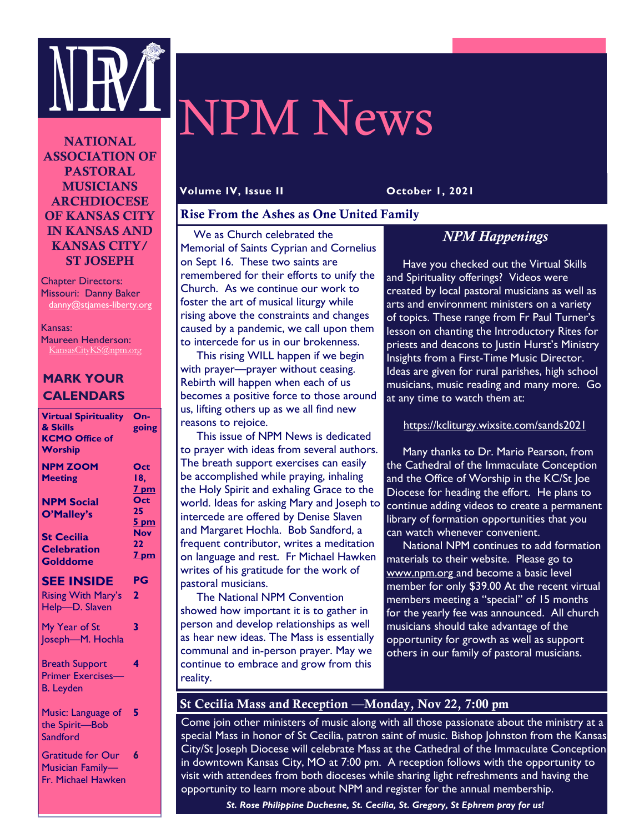

# NPM News

NATIONAL ASSOCIATION OF PASTORAL MUSICIANS ARCHDIOCESE OF KANSAS CITY IN KANSAS AND KANSAS CITY/ ST JOSEPH

Chapter Directors: Missouri: Danny Baker danny@stjames-liberty.org

Kansas: Maureen Henderson: KansasCityKS@npm.org

# **MARK YOUR CALENDARS**

| <b>Virtual Spirituality</b><br>& Skills<br><b>KCMO Office of</b><br>Worship | $On-$<br>going                          |
|-----------------------------------------------------------------------------|-----------------------------------------|
| <b>NPM ZOOM</b><br><b>Meeting</b>                                           | Oct<br>18.<br><u>7 pm</u>               |
| <b>NPM Social</b><br>O'Malley's                                             | Oct<br>25<br><u>5 pm</u>                |
| <b>St Cecilia</b><br><b>Celebration</b><br><b>Golddome</b>                  | Nov<br>$22 \overline{)}$<br><u>7 pm</u> |
| <b>SEE INSIDE</b><br><b>Rising With Mary's</b><br>Help-D. Slaven            | PG<br>2                                 |
| My Year of St<br>Joseph-M. Hochla                                           | 3                                       |
| <b>Breath Support</b><br><b>Primer Exercises-</b><br><b>B.</b> Leyden       | 4                                       |
| Music: Language of<br>the Spirit-Bob<br>Sandford                            | 5                                       |
| <b>Gratitude for Our</b><br>Musician Family-<br>Fr. Michael Hawken          | 6                                       |

#### **Volume IV, Issue II October 1, 2021**

# Rise From the Ashes as One United Family

 We as Church celebrated the Memorial of Saints Cyprian and Cornelius on Sept 16. These two saints are remembered for their efforts to unify the Church. As we continue our work to foster the art of musical liturgy while rising above the constraints and changes caused by a pandemic, we call upon them to intercede for us in our brokenness.

 This rising WILL happen if we begin with prayer—prayer without ceasing. Rebirth will happen when each of us becomes a positive force to those around us, lifting others up as we all find new reasons to rejoice.

 This issue of NPM News is dedicated to prayer with ideas from several authors. The breath support exercises can easily be accomplished while praying, inhaling the Holy Spirit and exhaling Grace to the world. Ideas for asking Mary and Joseph to intercede are offered by Denise Slaven and Margaret Hochla. Bob Sandford, a frequent contributor, writes a meditation on language and rest. Fr Michael Hawken writes of his gratitude for the work of pastoral musicians.

 The National NPM Convention showed how important it is to gather in person and develop relationships as well as hear new ideas. The Mass is essentially communal and in-person prayer. May we continue to embrace and grow from this reality.

# *NPM Happenings*

 Have you checked out the Virtual Skills and Spirituality offerings? Videos were created by local pastoral musicians as well as arts and environment ministers on a variety of topics. These range from Fr Paul Turner's lesson on chanting the Introductory Rites for priests and deacons to Justin Hurst's Ministry Insights from a First-Time Music Director. Ideas are given for rural parishes, high school musicians, music reading and many more. Go at any time to watch them at:

# https://kcliturgy.wixsite.com/sands2021

 Many thanks to Dr. Mario Pearson, from the Cathedral of the Immaculate Conception and the Office of Worship in the KC/St Joe Diocese for heading the effort. He plans to continue adding videos to create a permanent library of formation opportunities that you can watch whenever convenient.

 National NPM continues to add formation materials to their website. Please go to www.npm.org and become a basic level member for only \$39.00 At the recent virtual members meeting a "special" of 15 months for the yearly fee was announced. All church musicians should take advantage of the opportunity for growth as well as support others in our family of pastoral musicians.

# St Cecilia Mass and Reception —Monday, Nov 22, 7:00 pm

Come join other ministers of music along with all those passionate about the ministry at a special Mass in honor of St Cecilia, patron saint of music. Bishop Johnston from the Kansas City/St Joseph Diocese will celebrate Mass at the Cathedral of the Immaculate Conception in downtown Kansas City, MO at 7:00 pm. A reception follows with the opportunity to visit with attendees from both dioceses while sharing light refreshments and having the opportunity to learn more about NPM and register for the annual membership.

*St. Rose Philippine Duchesne, St. Cecilia, St. Gregory, St Ephrem pray for us!*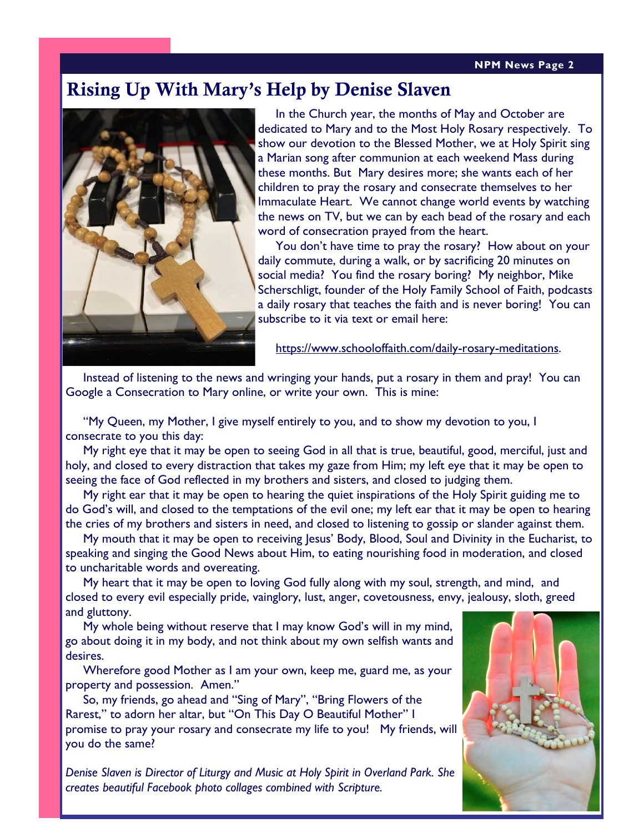#### **Page 2 NPM News Page 2**

# Rising Up With Mary's Help by Denise Slaven



In the Church year, the months of May and October are dedicated to Mary and to the Most Holy Rosary respectively. To show our devotion to the Blessed Mother, we at Holy Spirit sing a Marian song after communion at each weekend Mass during these months. But Mary desires more; she wants each of her children to pray the rosary and consecrate themselves to her Immaculate Heart. We cannot change world events by watching the news on TV, but we can by each bead of the rosary and each word of consecration prayed from the heart.

You don't have time to pray the rosary? How about on your daily commute, during a walk, or by sacrificing 20 minutes on social media? You find the rosary boring? My neighbor, Mike Scherschligt, founder of the Holy Family School of Faith, podcasts a daily rosary that teaches the faith and is never boring! You can subscribe to it via text or email here:

[https://www.schooloffaith.com/daily-rosary-meditations.](https://www.schooloffaith.com/daily-rosary-meditations)

 Instead of listening to the news and wringing your hands, put a rosary in them and pray! You can Google a Consecration to Mary online, or write your own. This is mine:

 "My Queen, my Mother, I give myself entirely to you, and to show my devotion to you, I consecrate to you this day:

My right eye that it may be open to seeing God in all that is true, beautiful, good, merciful, just and holy, and closed to every distraction that takes my gaze from Him; my left eye that it may be open to seeing the face of God reflected in my brothers and sisters, and closed to judging them.

My right ear that it may be open to hearing the quiet inspirations of the Holy Spirit guiding me to do God's will, and closed to the temptations of the evil one; my left ear that it may be open to hearing the cries of my brothers and sisters in need, and closed to listening to gossip or slander against them.

My mouth that it may be open to receiving Jesus' Body, Blood, Soul and Divinity in the Eucharist, to speaking and singing the Good News about Him, to eating nourishing food in moderation, and closed to uncharitable words and overeating.

My heart that it may be open to loving God fully along with my soul, strength, and mind, and closed to every evil especially pride, vainglory, lust, anger, covetousness, envy, jealousy, sloth, greed and gluttony.

My whole being without reserve that I may know God's will in my mind, go about doing it in my body, and not think about my own selfish wants and desires.

Wherefore good Mother as I am your own, keep me, guard me, as your property and possession. Amen."

 So, my friends, go ahead and "Sing of Mary", "Bring Flowers of the Rarest," to adorn her altar, but "On This Day O Beautiful Mother" I promise to pray your rosary and consecrate my life to you! My friends, will you do the same?

*Denise Slaven is Director of Liturgy and Music at Holy Spirit in Overland Park. She creates beautiful Facebook photo collages combined with Scripture.*

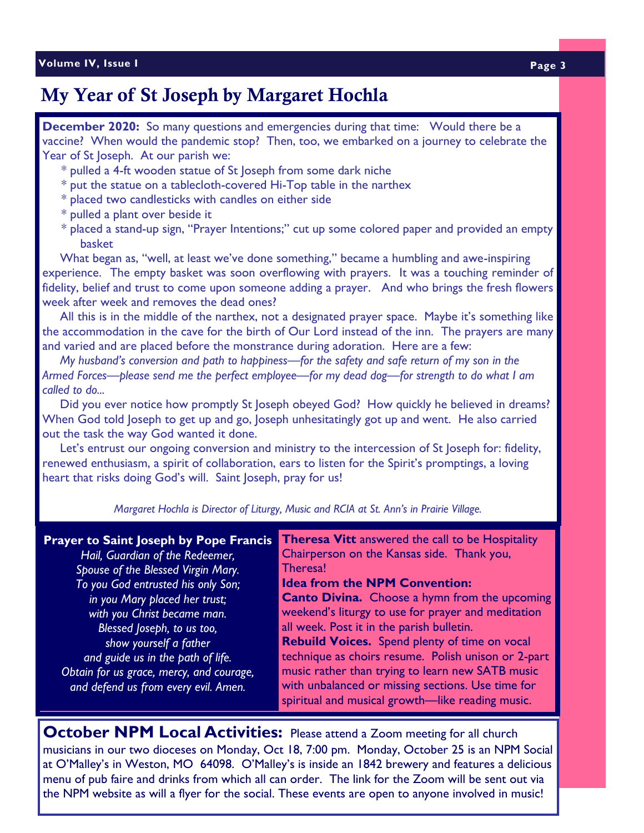# My Year of St Joseph by Margaret Hochla

**December 2020:** So many questions and emergencies during that time: Would there be a vaccine? When would the pandemic stop? Then, too, we embarked on a journey to celebrate the Year of St Joseph. At our parish we:

- \* pulled a 4-ft wooden statue of St Joseph from some dark niche
- \* put the statue on a tablecloth-covered Hi-Top table in the narthex
- \* placed two candlesticks with candles on either side
- \* pulled a plant over beside it
- \* placed a stand-up sign, "Prayer Intentions;" cut up some colored paper and provided an empty basket

 What began as, "well, at least we've done something," became a humbling and awe-inspiring experience. The empty basket was soon overflowing with prayers. It was a touching reminder of fidelity, belief and trust to come upon someone adding a prayer. And who brings the fresh flowers week after week and removes the dead ones?

 All this is in the middle of the narthex, not a designated prayer space. Maybe it's something like the accommodation in the cave for the birth of Our Lord instead of the inn. The prayers are many and varied and are placed before the monstrance during adoration. Here are a few:

 *My husband's conversion and path to happiness*—*for the safety and safe return of my son in the Armed Forces*—*please send me the perfect employee*—*for my dead dog*—*for strength to do what I am called to do...*

 Did you ever notice how promptly St Joseph obeyed God? How quickly he believed in dreams? When God told Joseph to get up and go, Joseph unhesitatingly got up and went. He also carried out the task the way God wanted it done.

 Let's entrust our ongoing conversion and ministry to the intercession of St Joseph for: fidelity, renewed enthusiasm, a spirit of collaboration, ears to listen for the Spirit's promptings, a loving heart that risks doing God's will. Saint Joseph, pray for us!

*Margaret Hochla is Director of Liturgy, Music and RCIA at St. Ann's in Prairie Village.*

**Theresa Vitt** answered the call to be Hospitality Chairperson on the Kansas side. Thank you, Theresa! **Idea from the NPM Convention: Canto Divina.** Choose a hymn from the upcoming weekend's liturgy to use for prayer and meditation all week. Post it in the parish bulletin. **Rebuild Voices.** Spend plenty of time on vocal technique as choirs resume. Polish unison or 2-part music rather than trying to learn new SATB music with unbalanced or missing sections. Use time for spiritual and musical growth—like reading music. **Prayer to Saint Joseph by Pope Francis**  *Hail, Guardian of the Redeemer, Spouse of the Blessed Virgin Mary. To you God entrusted his only Son; in you Mary placed her trust; with you Christ became man. Blessed Joseph, to us too, show yourself a father and guide us in the path of life. Obtain for us grace, mercy, and courage, and defend us from every evil. Amen.*

**October NPM Local Activities:** Please attend a Zoom meeting for all church musicians in our two dioceses on Monday, Oct 18, 7:00 pm. Monday, October 25 is an NPM Social at O'Malley's in Weston, MO 64098. O'Malley's is inside an 1842 brewery and features a delicious menu of pub faire and drinks from which all can order. The link for the Zoom will be sent out via the NPM website as will a flyer for the social. These events are open to anyone involved in music!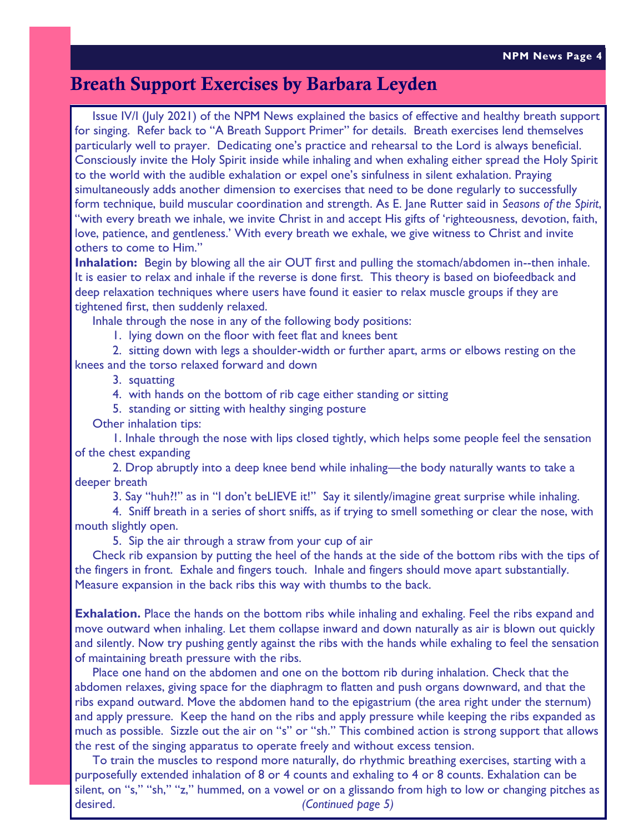# Breath Support Exercises by Barbara Leyden

 Issue IV/I (July 2021) of the NPM News explained the basics of effective and healthy breath support for singing. Refer back to "A Breath Support Primer" for details. Breath exercises lend themselves particularly well to prayer. Dedicating one's practice and rehearsal to the Lord is always beneficial. Consciously invite the Holy Spirit inside while inhaling and when exhaling either spread the Holy Spirit to the world with the audible exhalation or expel one's sinfulness in silent exhalation. Praying simultaneously adds another dimension to exercises that need to be done regularly to successfully form technique, build muscular coordination and strength. As E. Jane Rutter said in *Seasons of the Spirit*, "with every breath we inhale, we invite Christ in and accept His gifts of 'righteousness, devotion, faith, love, patience, and gentleness.' With every breath we exhale, we give witness to Christ and invite others to come to Him."

**Inhalation:** Begin by blowing all the air OUT first and pulling the stomach/abdomen in--then inhale. It is easier to relax and inhale if the reverse is done first. This theory is based on biofeedback and deep relaxation techniques where users have found it easier to relax muscle groups if they are tightened first, then suddenly relaxed.

Inhale through the nose in any of the following body positions:

1. lying down on the floor with feet flat and knees bent

2. sitting down with legs a shoulder-width or further apart, arms or elbows resting on the knees and the torso relaxed forward and down

3. squatting

- 4. with hands on the bottom of rib cage either standing or sitting
- 5. standing or sitting with healthy singing posture
- Other inhalation tips:

1. Inhale through the nose with lips closed tightly, which helps some people feel the sensation of the chest expanding

2. Drop abruptly into a deep knee bend while inhaling—the body naturally wants to take a deeper breath

3. Say "huh?!" as in "I don't beLIEVE it!" Say it silently/imagine great surprise while inhaling.

4. Sniff breath in a series of short sniffs, as if trying to smell something or clear the nose, with mouth slightly open.

5. Sip the air through a straw from your cup of air

 Check rib expansion by putting the heel of the hands at the side of the bottom ribs with the tips of the fingers in front. Exhale and fingers touch. Inhale and fingers should move apart substantially. Measure expansion in the back ribs this way with thumbs to the back.

**Exhalation.** Place the hands on the bottom ribs while inhaling and exhaling. Feel the ribs expand and move outward when inhaling. Let them collapse inward and down naturally as air is blown out quickly and silently. Now try pushing gently against the ribs with the hands while exhaling to feel the sensation of maintaining breath pressure with the ribs.

 Place one hand on the abdomen and one on the bottom rib during inhalation. Check that the abdomen relaxes, giving space for the diaphragm to flatten and push organs downward, and that the ribs expand outward. Move the abdomen hand to the epigastrium (the area right under the sternum) and apply pressure. Keep the hand on the ribs and apply pressure while keeping the ribs expanded as much as possible. Sizzle out the air on "s" or "sh." This combined action is strong support that allows the rest of the singing apparatus to operate freely and without excess tension.

 To train the muscles to respond more naturally, do rhythmic breathing exercises, starting with a purposefully extended inhalation of 8 or 4 counts and exhaling to 4 or 8 counts. Exhalation can be silent, on "s," "sh," "z," hummed, on a vowel or on a glissando from high to low or changing pitches as desired. *(Continued page 5)*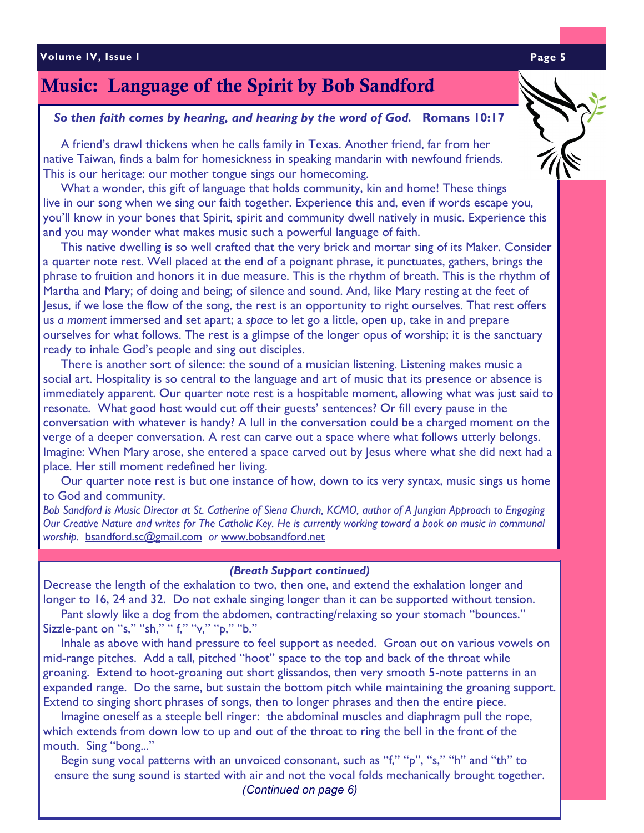### **Volume IV, Issue I Page 5**

# Music: Language of the Spirit by Bob Sandford

# *So then faith comes by hearing, and hearing by the word of God.* **Romans 10:17**

 A friend's drawl thickens when he calls family in Texas. Another friend, far from her native Taiwan, finds a balm for homesickness in speaking mandarin with newfound friends. This is our heritage: our mother tongue sings our homecoming.

 What a wonder, this gift of language that holds community, kin and home! These things live in our song when we sing our faith together. Experience this and, even if words escape you, you'll know in your bones that Spirit, spirit and community dwell natively in music. Experience this and you may wonder what makes music such a powerful language of faith.

 This native dwelling is so well crafted that the very brick and mortar sing of its Maker. Consider a quarter note rest. Well placed at the end of a poignant phrase, it punctuates, gathers, brings the phrase to fruition and honors it in due measure. This is the rhythm of breath. This is the rhythm of Martha and Mary; of doing and being; of silence and sound. And, like Mary resting at the feet of Jesus, if we lose the flow of the song, the rest is an opportunity to right ourselves. That rest offers us *a moment* immersed and set apart; a *space* to let go a little, open up, take in and prepare ourselves for what follows. The rest is a glimpse of the longer opus of worship; it is the sanctuary ready to inhale God's people and sing out disciples.

 There is another sort of silence: the sound of a musician listening. Listening makes music a social art. Hospitality is so central to the language and art of music that its presence or absence is immediately apparent. Our quarter note rest is a hospitable moment, allowing what was just said to resonate. What good host would cut off their guests' sentences? Or fill every pause in the conversation with whatever is handy? A lull in the conversation could be a charged moment on the verge of a deeper conversation. A rest can carve out a space where what follows utterly belongs. Imagine: When Mary arose, she entered a space carved out by Jesus where what she did next had a place. Her still moment redefined her living.

 Our quarter note rest is but one instance of how, down to its very syntax, music sings us home to God and community.

*Bob Sandford is Music Director at St. Catherine of Siena Church, KCMO, author of A Jungian Approach to Engaging Our Creative Nature and writes for The Catholic Key. He is currently working toward a book on music in communal worship.* [bsandford.sc@gmail.com](about:blank) *or* [www.bobsandford.net](about:blank)

#### *(Breath Support continued)*

Decrease the length of the exhalation to two, then one, and extend the exhalation longer and longer to 16, 24 and 32. Do not exhale singing longer than it can be supported without tension.

 Pant slowly like a dog from the abdomen, contracting/relaxing so your stomach "bounces." Sizzle-pant on "s," "sh," "f," "v," "p," "b."

 Inhale as above with hand pressure to feel support as needed. Groan out on various vowels on mid-range pitches. Add a tall, pitched "hoot" space to the top and back of the throat while groaning. Extend to hoot-groaning out short glissandos, then very smooth 5-note patterns in an expanded range. Do the same, but sustain the bottom pitch while maintaining the groaning support. Extend to singing short phrases of songs, then to longer phrases and then the entire piece.

 Imagine oneself as a steeple bell ringer: the abdominal muscles and diaphragm pull the rope, which extends from down low to up and out of the throat to ring the bell in the front of the mouth. Sing "bong..."

Begin sung vocal patterns with an unvoiced consonant, such as "f," "p", "s," "h" and "th" to ensure the sung sound is started with air and not the vocal folds mechanically brought together. *(Continued on page 6)*